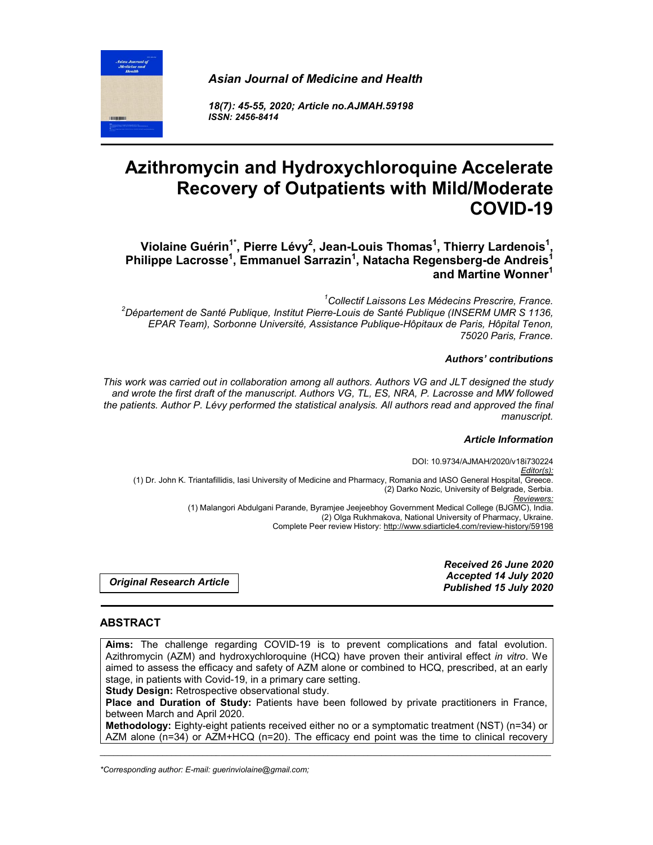*Asian Journal of Medicine and Health*

*18(7): 45-55, 2020; Article no.AJMAH.59198 ISSN: 2456-8414*

# **Azithromycin and Hydroxychloroquine Accelerate Recovery of Outpatients with Mild/Moderate COVID-19**

**Violaine Guérin1\*, Pierre Lévy2 , Jean-Louis Thomas1 , Thierry Lardenois1 , Philippe Lacrosse1 , Emmanuel Sarrazin1 , Natacha Regensberg-de Andreis1 and Martine Wonner1**

<sup>1</sup>Collectif Laissons Les Médecins Prescrire, France. *Collectif Laissons Les Médecins Prescrire, France. <sup>2</sup> Département de Santé Publique, Institut Pierre-Louis de Santé Publique (INSERM UMR S 1136, EPAR Team), Sorbonne Université, Assistance Publique-Hôpitaux de Paris, Hôpital Tenon, 75020 Paris, France.*

#### *Authors' contributions*

*This work was carried out in collaboration among all authors. Authors VG and JLT designed the study and wrote the first draft of the manuscript. Authors VG, TL, ES, NRA, P. Lacrosse and MW followed the patients. Author P. Lévy performed the statistical analysis. All authors read and approved the final manuscript.*

#### *Article Information*

DOI: 10.9734/AJMAH/2020/v18i730224 *Editor(s):* (1) Dr. John K. Triantafillidis, Iasi University of Medicine and Pharmacy, Romania and IASO General Hospital, Greece. (2) Darko Nozic, University of Belgrade, Serbia. *Reviewers:* (1) Malangori Abdulgani Parande, Byramjee Jeejeebhoy Government Medical College (BJGMC), India. (2) Olga Rukhmakova, National University of Pharmacy, Ukraine. Complete Peer review History: http://www.sdiarticle4.com/review-history/59198

*Original Research Article*

*Received 26 June 2020 Accepted 14 July 2020 Published 15 July 2020*

# **ABSTRACT**

**Aims:** The challenge regarding COVID-19 is to prevent complications and fatal evolution. Azithromycin (AZM) and hydroxychloroquine (HCQ) have proven their antiviral effect *in vitro*. We aimed to assess the efficacy and safety of AZM alone or combined to HCQ, prescribed, at an early stage, in patients with Covid-19, in a primary care setting.

**Study Design:** Retrospective observational study.

**Place and Duration of Study:** Patients have been followed by private practitioners in France, between March and April 2020.

**Methodology:** Eighty-eight patients received either no or a symptomatic treatment (NST) (n=34) or AZM alone (n=34) or AZM+HCQ (n=20). The efficacy end point was the time to clinical recovery

\_\_\_\_\_\_\_\_\_\_\_\_\_\_\_\_\_\_\_\_\_\_\_\_\_\_\_\_\_\_\_\_\_\_\_\_\_\_\_\_\_\_\_\_\_\_\_\_\_\_\_\_\_\_\_\_\_\_\_\_\_\_\_\_\_\_\_\_\_\_\_\_\_\_\_\_\_\_\_\_\_\_\_\_\_\_\_\_\_\_\_\_\_\_\_\_\_\_\_\_\_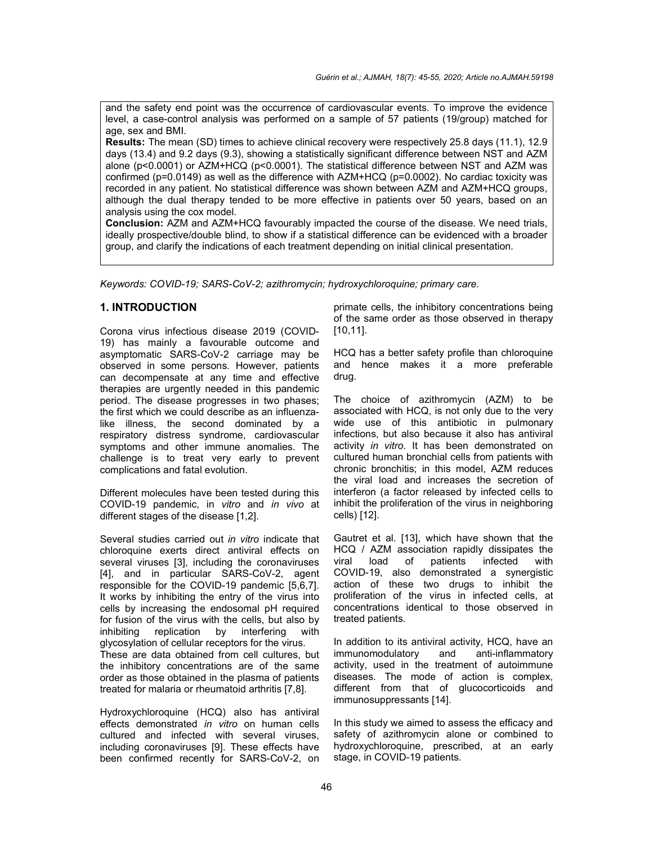and the safety end point was the occurrence of cardiovascular events. To improve the evidence level, a case-control analysis was performed on a sample of 57 patients (19/group) matched for age, sex and BMI.

**Results:** The mean (SD) times to achieve clinical recovery were respectively 25.8 days (11.1), 12.9 days (13.4) and 9.2 days (9.3), showing a statistically significant difference between NST and AZM alone (p<0.0001) or AZM+HCQ (p<0.0001). The statistical difference between NST and AZM was confirmed (p=0.0149) as well as the difference with AZM+HCQ (p=0.0002). No cardiac toxicity was recorded in any patient. No statistical difference was shown between AZM and AZM+HCQ groups, although the dual therapy tended to be more effective in patients over 50 years, based on an analysis using the cox model.

**Conclusion:** AZM and AZM+HCQ favourably impacted the course of the disease. We need trials, ideally prospective/double blind, to show if a statistical difference can be evidenced with a broader group, and clarify the indications of each treatment depending on initial clinical presentation.

*Keywords: COVID-19; SARS-CoV-2; azithromycin; hydroxychloroquine; primary care.*

## **1. INTRODUCTION**

Corona virus infectious disease 2019 (COVID-19) has mainly a favourable outcome and asymptomatic SARS-CoV-2 carriage may be observed in some persons. However, patients can decompensate at any time and effective therapies are urgently needed in this pandemic period. The disease progresses in two phases; the first which we could describe as an influenzalike illness, the second dominated by a respiratory distress syndrome, cardiovascular symptoms and other immune anomalies. The challenge is to treat very early to prevent complications and fatal evolution.

Different molecules have been tested during this COVID-19 pandemic, in *vitro* and *in vivo* at different stages of the disease [1,2].

Several studies carried out *in vitro* indicate that chloroquine exerts direct antiviral effects on several viruses [3], including the coronaviruses [4], and in particular SARS-CoV-2, agent responsible for the COVID-19 pandemic [5,6,7]. It works by inhibiting the entry of the virus into cells by increasing the endosomal pH required for fusion of the virus with the cells, but also by inhibiting replication by interfering with glycosylation of cellular receptors for the virus. These are data obtained from cell cultures, but the inhibitory concentrations are of the same order as those obtained in the plasma of patients treated for malaria or rheumatoid arthritis [7,8].

Hydroxychloroquine (HCQ) also has antiviral effects demonstrated *in vitro* on human cells cultured and infected with several viruses, including coronaviruses [9]. These effects have been confirmed recently for SARS-CoV-2, on

primate cells, the inhibitory concentrations being of the same order as those observed in therapy [10,11].

HCQ has a better safety profile than chloroquine and hence makes it a more preferable drug.

The choice of azithromycin (AZM) to be associated with HCQ, is not only due to the very wide use of this antibiotic in pulmonary infections, but also because it also has antiviral activity *in vitro*. It has been demonstrated on cultured human bronchial cells from patients with chronic bronchitis; in this model, AZM reduces the viral load and increases the secretion of interferon (a factor released by infected cells to inhibit the proliferation of the virus in neighboring cells) [12].

Gautret et al. [13], which have shown that the HCQ / AZM association rapidly dissipates the viral load of patients infected with COVID-19, also demonstrated a synergistic action of these two drugs to inhibit the proliferation of the virus in infected cells, at concentrations identical to those observed in treated patients.

In addition to its antiviral activity, HCQ, have an immunomodulatory and anti-inflammatory activity, used in the treatment of autoimmune diseases. The mode of action is complex, different from that of glucocorticoids and immunosuppressants [14].

In this study we aimed to assess the efficacy and safety of azithromycin alone or combined to hydroxychloroquine, prescribed, at an early stage, in COVID-19 patients.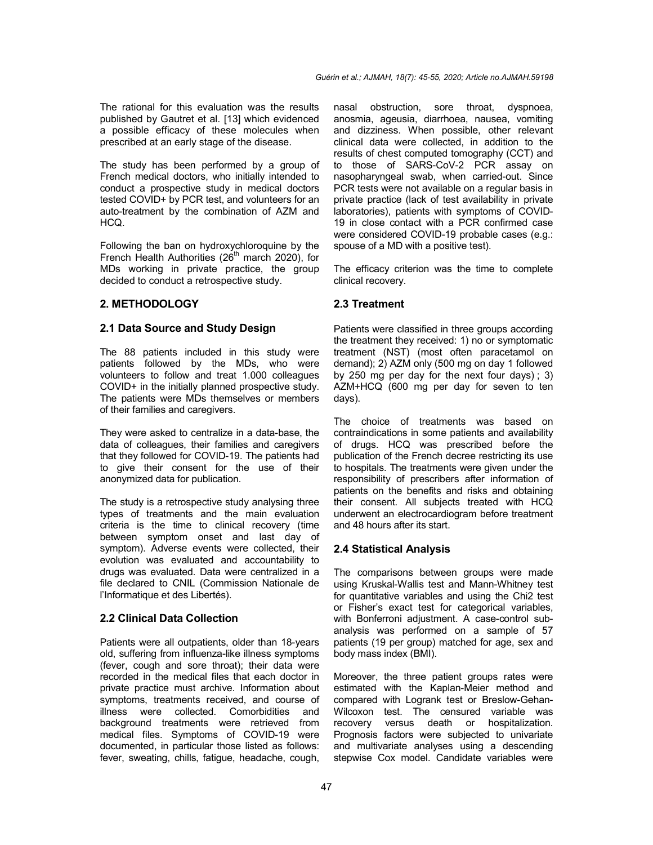The rational for this evaluation was the results published by Gautret et al. [13] which evidenced a possible efficacy of these molecules when prescribed at an early stage of the disease.

The study has been performed by a group of French medical doctors, who initially intended to conduct a prospective study in medical doctors tested COVID+ by PCR test, and volunteers for an auto-treatment by the combination of AZM and HCQ.

Following the ban on hydroxychloroquine by the French Health Authorities  $(26<sup>th</sup>$  march 2020), for MDs working in private practice, the group decided to conduct a retrospective study.

## **2. METHODOLOGY**

#### **2.1 Data Source and Study Design**

The 88 patients included in this study were patients followed by the MDs, who were volunteers to follow and treat 1.000 colleagues COVID+ in the initially planned prospective study. The patients were MDs themselves or members of their families and caregivers.

They were asked to centralize in a data-base, the data of colleagues, their families and caregivers that they followed for COVID-19. The patients had to give their consent for the use of their anonymized data for publication.

The study is a retrospective study analysing three types of treatments and the main evaluation criteria is the time to clinical recovery (time between symptom onset and last day of symptom). Adverse events were collected, their evolution was evaluated and accountability to drugs was evaluated. Data were centralized in a file declared to CNIL (Commission Nationale de l'Informatique et des Libertés).

# **2.2 Clinical Data Collection**

Patients were all outpatients, older than 18-years old, suffering from influenza-like illness symptoms (fever, cough and sore throat); their data were recorded in the medical files that each doctor in private practice must archive. Information about symptoms, treatments received, and course of illness were collected. Comorbidities and background treatments were retrieved from medical files. Symptoms of COVID-19 were documented, in particular those listed as follows: fever, sweating, chills, fatigue, headache, cough,

nasal obstruction, sore throat, dyspnoea, anosmia, ageusia, diarrhoea, nausea, vomiting and dizziness. When possible, other relevant clinical data were collected, in addition to the results of chest computed tomography (CCT) and to those of SARS-CoV-2 PCR assay on nasopharyngeal swab, when carried-out. Since PCR tests were not available on a regular basis in private practice (lack of test availability in private laboratories), patients with symptoms of COVID-19 in close contact with a PCR confirmed case were considered COVID-19 probable cases (e.g.: spouse of a MD with a positive test).

The efficacy criterion was the time to complete clinical recovery.

## **2.3 Treatment**

Patients were classified in three groups according the treatment they received: 1) no or symptomatic treatment (NST) (most often paracetamol on demand); 2) AZM only (500 mg on day 1 followed by 250 mg per day for the next four days) ; 3) AZM+HCQ (600 mg per day for seven to ten days).

The choice of treatments was based on contraindications in some patients and availability of drugs. HCQ was prescribed before the publication of the French decree restricting its use to hospitals. The treatments were given under the responsibility of prescribers after information of patients on the benefits and risks and obtaining their consent. All subjects treated with HCQ underwent an electrocardiogram before treatment and 48 hours after its start.

#### **2.4 Statistical Analysis**

The comparisons between groups were made using Kruskal-Wallis test and Mann-Whitney test for quantitative variables and using the Chi2 test or Fisher's exact test for categorical variables, with Bonferroni adjustment. A case-control subanalysis was performed on a sample of 57 patients (19 per group) matched for age, sex and body mass index (BMI).

Moreover, the three patient groups rates were estimated with the Kaplan-Meier method and compared with Logrank test or Breslow-Gehan-Wilcoxon test. The censured variable was recovery versus death or hospitalization. Prognosis factors were subjected to univariate and multivariate analyses using a descending stepwise Cox model. Candidate variables were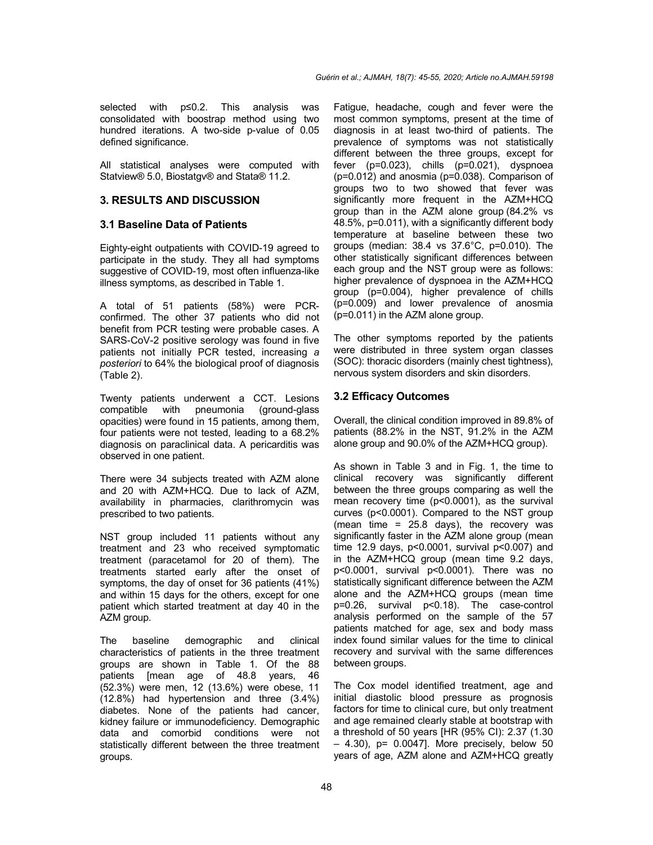selected with p≤0.2. This analysis was consolidated with boostrap method using two hundred iterations. A two-side p-value of 0.05 defined significance.

All statistical analyses were computed with Statview® 5.0, Biostatgv® and Stata® 11.2.

# **3. RESULTS AND DISCUSSION**

## **3.1 Baseline Data of Patients**

Eighty-eight outpatients with COVID-19 agreed to participate in the study. They all had symptoms suggestive of COVID-19, most often influenza-like illness symptoms, as described in Table 1.

A total of 51 patients (58%) were PCRconfirmed. The other 37 patients who did not benefit from PCR testing were probable cases. A SARS-CoV-2 positive serology was found in five patients not initially PCR tested, increasing *a posteriori* to 64% the biological proof of diagnosis (Table 2).

Twenty patients underwent a CCT. Lesions (ground-glass opacities) were found in 15 patients, among them, four patients were not tested, leading to a 68.2% diagnosis on paraclinical data. A pericarditis was observed in one patient.

There were 34 subjects treated with AZM alone and 20 with AZM+HCQ. Due to lack of AZM, availability in pharmacies, clarithromycin was prescribed to two patients.

NST group included 11 patients without any treatment and 23 who received symptomatic treatment (paracetamol for 20 of them). The treatments started early after the onset of symptoms, the day of onset for 36 patients (41%) and within 15 days for the others, except for one patient which started treatment at day 40 in the AZM group.

The baseline demographic and clinical characteristics of patients in the three treatment groups are shown in Table 1. Of the 88 patients [mean age of 48.8 years, 46 (52.3%) were men, 12 (13.6%) were obese, 11 (12.8%) had hypertension and three (3.4%) diabetes. None of the patients had cancer, kidney failure or immunodeficiency. Demographic data and comorbid conditions were not statistically different between the three treatment groups.

Fatigue, headache, cough and fever were the most common symptoms, present at the time of diagnosis in at least two-third of patients. The prevalence of symptoms was not statistically different between the three groups, except for fever (p=0.023), chills (p=0.021), dyspnoea (p=0.012) and anosmia (p=0.038). Comparison of groups two to two showed that fever was significantly more frequent in the AZM+HCQ group than in the AZM alone group (84.2% vs 48.5%, p=0.011), with a significantly different body temperature at baseline between these two groups (median: 38.4 vs 37.6°C, p=0.010). The other statistically significant differences between each group and the NST group were as follows: higher prevalence of dyspnoea in the AZM+HCQ group (p=0.004), higher prevalence of chills (p=0.009) and lower prevalence of anosmia (p=0.011) in the AZM alone group.

The other symptoms reported by the patients were distributed in three system organ classes (SOC): thoracic disorders (mainly chest tightness), nervous system disorders and skin disorders.

# **3.2 Efficacy Outcomes**

Overall, the clinical condition improved in 89.8% of patients (88.2% in the NST, 91.2% in the AZM alone group and 90.0% of the AZM+HCQ group).

As shown in Table 3 and in Fig. 1, the time to clinical recovery was significantly different between the three groups comparing as well the mean recovery time (p˂0.0001), as the survival curves (p˂0.0001). Compared to the NST group (mean time = 25.8 days), the recovery was significantly faster in the AZM alone group (mean time 12.9 days, p˂0.0001, survival p˂0.007) and in the AZM+HCQ group (mean time 9.2 days, p˂0.0001, survival p˂0.0001). There was no statistically significant difference between the AZM alone and the AZM+HCQ groups (mean time p=0.26, survival p˂0.18). The case-control analysis performed on the sample of the 57 patients matched for age, sex and body mass index found similar values for the time to clinical recovery and survival with the same differences between groups.

The Cox model identified treatment, age and initial diastolic blood pressure as prognosis factors for time to clinical cure, but only treatment and age remained clearly stable at bootstrap with a threshold of 50 years [HR (95% CI): 2.37 (1.30  $-$  4.30), p= 0.0047]. More precisely, below 50 years of age, AZM alone and AZM+HCQ greatly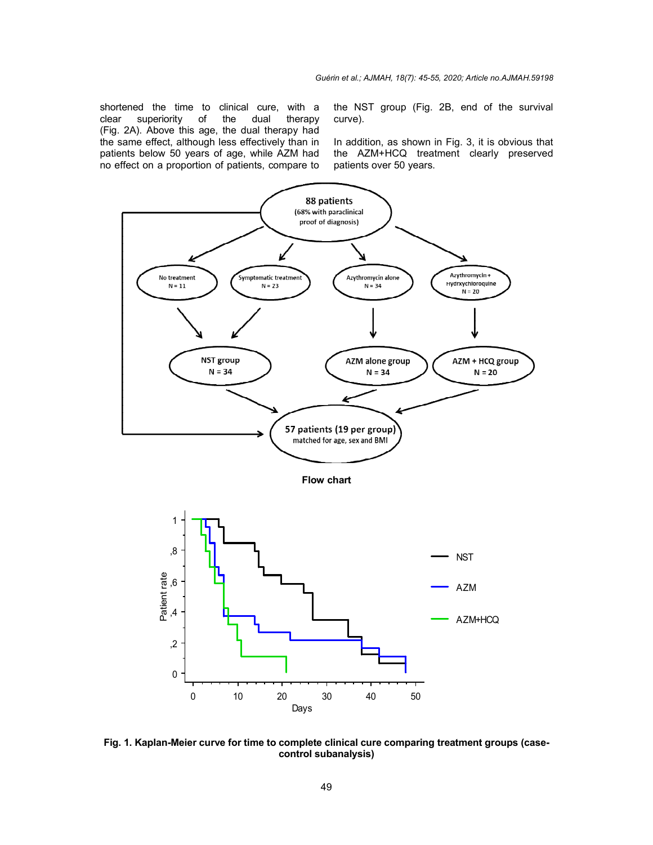shortened the time to clinical cure, with a clear superiority of the dual (Fig. 2A). Above this age, the dual therapy had the same effect, although less effectively than in patients below 50 years of age, while AZM had no effect on a proportion of patients, compare to therapy ne time to clinical cure, with a the NST group (Fig. 2B, end of the survival<br>riority of the dual therapy curve).<br>ove this age, the dual therapy had<br>ect, although less effectively than in In addition, as shown in Fig. 3, it

curve). the NST group (Fig. 2B, end of the survival<br>curve).<br>In addition, as shown in Fig. 3, it is obvious that

the AZM+HCQ treatment clearly preserved patients over 50 years.



**Fig. 1. Kaplan-Meier curve for time to complete clinical cure comparing treatment groups (casecontrol subanalysis)**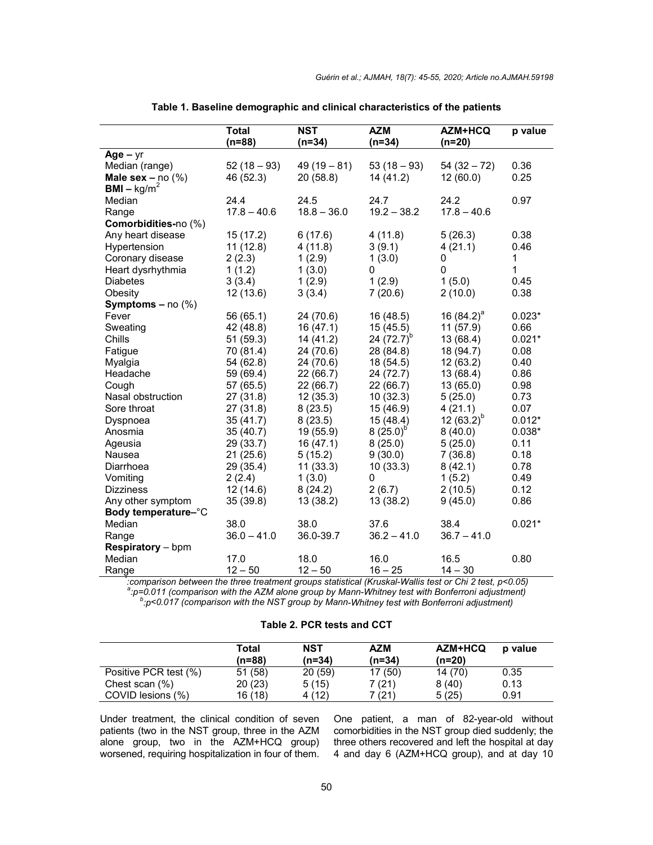|                                        | <b>Total</b>  | <b>NST</b>    | <b>AZM</b>    | <b>AZM+HCQ</b> | p value      |
|----------------------------------------|---------------|---------------|---------------|----------------|--------------|
|                                        | $(n=88)$      | $(n=34)$      | $(n=34)$      | $(n=20)$       |              |
| $Age - yr$                             |               |               |               |                |              |
| Median (range)                         | $52(18-93)$   | $49(19-81)$   | $53(18-93)$   | $54(32-72)$    | 0.36         |
| Male sex $-$ no $(\%)$                 | 46 (52.3)     | 20 (58.8)     | 14 (41.2)     | 12(60.0)       | 0.25         |
| $BMI - kg/m2$                          |               |               |               |                |              |
| Median                                 | 24.4          | 24.5          | 24.7          | 24.2           | 0.97         |
| Range                                  | $17.8 - 40.6$ | $18.8 - 36.0$ | $19.2 - 38.2$ | $17.8 - 40.6$  |              |
| Comorbidities-no (%)                   |               |               |               |                |              |
| Any heart disease                      | 15 (17.2)     | 6(17.6)       | 4(11.8)       | 5(26.3)        | 0.38         |
| Hypertension                           | 11(12.8)      | 4(11.8)       | 3(9.1)        | 4(21.1)        | 0.46         |
| Coronary disease                       | 2(2.3)        | 1(2.9)        | 1(3.0)        | 0              | 1            |
| Heart dysrhythmia                      | 1(1.2)        | 1(3.0)        | 0             | 0              | $\mathbf{1}$ |
| <b>Diabetes</b>                        | 3(3.4)        | 1(2.9)        | 1(2.9)        | 1(5.0)         | 0.45         |
| Obesity                                | 12 (13.6)     | 3(3.4)        | 7(20.6)       | 2(10.0)        | 0.38         |
| <b>Symptoms – no <math>(\%)</math></b> |               |               |               |                |              |
| Fever                                  | 56 (65.1)     | 24 (70.6)     | 16 (48.5)     | 16 $(84.2)^a$  | $0.023*$     |
| Sweating                               | 42 (48.8)     | 16(47.1)      | 15(45.5)      | 11(57.9)       | 0.66         |
| Chills                                 | 51 (59.3)     | 14 (41.2)     | 24 $(72.7)^b$ | 13 (68.4)      | $0.021*$     |
| Fatigue                                | 70 (81.4)     | 24 (70.6)     | 28 (84.8)     | 18 (94.7)      | 0.08         |
| Myalgia                                | 54 (62.8)     | 24 (70.6)     | 18 (54.5)     | 12 (63.2)      | 0.40         |
| Headache                               | 59 (69.4)     | 22 (66.7)     | 24 (72.7)     | 13 (68.4)      | 0.86         |
| Cough                                  | 57 (65.5)     | 22 (66.7)     | 22 (66.7)     | 13(65.0)       | 0.98         |
| Nasal obstruction                      | 27 (31.8)     | 12(35.3)      | 10(32.3)      | 5(25.0)        | 0.73         |
| Sore throat                            | 27 (31.8)     | 8(23.5)       | 15 (46.9)     | 4(21.1)        | 0.07         |
| Dyspnoea                               | 35(41.7)      | 8(23.5)       | 15 (48.4)     | 12 $(63.2)^b$  | $0.012*$     |
| Anosmia                                | 35 (40.7)     | 19 (55.9)     | $8(25.0)^{6}$ | 8(40.0)        | $0.038*$     |
| Ageusia                                | 29 (33.7)     | 16 (47.1)     | 8(25.0)       | 5(25.0)        | 0.11         |
| Nausea                                 | 21(25.6)      | 5(15.2)       | 9(30.0)       | 7(36.8)        | 0.18         |
| Diarrhoea                              | 29 (35.4)     | 11(33.3)      | 10(33.3)      | 8(42.1)        | 0.78         |
| Vomiting                               | 2(2.4)        | 1(3.0)        | 0             | 1(5.2)         | 0.49         |
| <b>Dizziness</b>                       | 12(14.6)      | 8(24.2)       | 2(6.7)        | 2(10.5)        | 0.12         |
| Any other symptom                      | 35 (39.8)     | 13 (38.2)     | 13 (38.2)     | 9(45.0)        | 0.86         |
| Body temperature-°C                    |               |               |               |                |              |
| Median                                 | 38.0          | 38.0          | 37.6          | 38.4           | $0.021*$     |
| Range                                  | $36.0 - 41.0$ | 36.0-39.7     | $36.2 - 41.0$ | $36.7 - 41.0$  |              |
| Respiratory - bpm                      |               |               |               |                |              |
| Median                                 | 17.0          | 18.0          | 16.0          | 16.5           | 0.80         |
| Range                                  | $12 - 50$     | $12 - 50$     | $16 - 25$     | $14 - 30$      |              |

**Table 1. Baseline demographic and clinical characteristics of the patients**

12 – 50 12 – 50 16 – 25 14 – 30 *\* :comparison between the three treatment groups statistical (Kruskal-Wallis test or Chi 2 test, p˂0.05) <sup>a</sup> :p=0.011 (comparison with the AZM alone group by Mann-Whitney test with Bonferroni adjustment) <sup>b</sup> :p˂0.017 (comparison with the NST group by Mann-Whitney test with Bonferroni adjustment)*

## **Table 2. PCR tests and CCT**

|                       | Total<br>(n=88) | NST<br>(n=34) | <b>AZM</b><br>$(n=34)$ | AZM+HCQ<br>$(n=20)$ | p value |
|-----------------------|-----------------|---------------|------------------------|---------------------|---------|
| Positive PCR test (%) | 51 (58)         | 20(59)        | 17 (50)                | 14 (70)             | 0.35    |
| Chest scan (%)        | 20(23)          | 5(15)         | 7 (21)                 | 8(40)               | 0.13    |
| COVID lesions (%)     | 16 (18)         | 4(12)         | 7 (21)                 | 5(25)               | 0.91    |

Under treatment, the clinical condition of seven patients (two in the NST group, three in the AZM alone group, two in the AZM+HCQ group) worsened, requiring hospitalization in four of them.

One patient, a man of 82-year-old without comorbidities in the NST group died suddenly; the three others recovered and left the hospital at day 4 and day 6 (AZM+HCQ group), and at day 10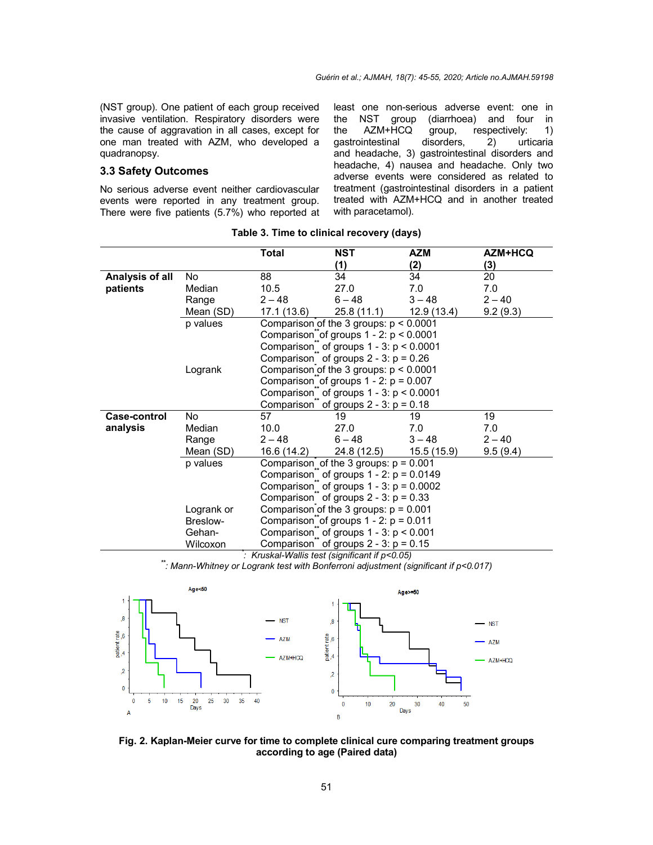(NST group). One patient of each group received invasive ventilation. Respiratory disorders were the cause of aggravation in all cases, except for one man treated with AZM, who developed a quadranopsy.

# **3.3 Safety Outcomes**

No serious adverse event neither cardiovascular events were reported in any treatment group. There were five patients (5.7%) who reported at least one non-serious adverse event: one in group (diarrhoea) and four in the AZM+HCQ group, respectively: 1) gastrointestinal disorders, 2) urticaria and headache, 3) gastrointestinal disorders and headache, 4) nausea and headache. Only two adverse events were considered as related to treatment (gastrointestinal disorders in a patient treated with AZM+HCQ and in another treated with paracetamol).

|                                             |            | Total                                                                                                                                                                                            | NST                                                      | AZM        | AZM+HCQ  |  |  |
|---------------------------------------------|------------|--------------------------------------------------------------------------------------------------------------------------------------------------------------------------------------------------|----------------------------------------------------------|------------|----------|--|--|
|                                             |            |                                                                                                                                                                                                  | (1)                                                      | (2)        | (3)      |  |  |
| Analysis of all                             | No.        | 88                                                                                                                                                                                               | 34                                                       | 34         | 20       |  |  |
| patients                                    | Median     | 10.5                                                                                                                                                                                             | 27.0                                                     | 7.0        | 7.0      |  |  |
|                                             | Range      | $2 - 48$                                                                                                                                                                                         | $6 - 48$                                                 | $3 - 48$   | $2 - 40$ |  |  |
|                                             | Mean (SD)  | 17.1 (13.6)                                                                                                                                                                                      | 25.8 (11.1)                                              | 12.9(13.4) | 9.2(9.3) |  |  |
|                                             | p values   | Comparison of the 3 groups: $p < 0.0001$                                                                                                                                                         |                                                          |            |          |  |  |
|                                             |            |                                                                                                                                                                                                  | Comparison of groups $1 - 2$ : $p < 0.0001$              |            |          |  |  |
|                                             |            |                                                                                                                                                                                                  | Comparison <sup>"</sup> of groups $1 - 3$ : $p < 0.0001$ |            |          |  |  |
|                                             |            |                                                                                                                                                                                                  | Comparison $\degree$ of groups 2 - 3: p = 0.26           |            |          |  |  |
|                                             | Logrank    | Comparison of the 3 groups: $p < 0.0001$<br>Comparison of groups $1 - 2$ : $p = 0.007$<br>Comparison" of groups $1 - 3$ : $p < 0.0001$<br>Comparison <sup>"</sup> of groups $2 - 3$ : $p = 0.18$ |                                                          |            |          |  |  |
|                                             |            |                                                                                                                                                                                                  |                                                          |            |          |  |  |
|                                             |            |                                                                                                                                                                                                  |                                                          |            |          |  |  |
|                                             |            |                                                                                                                                                                                                  |                                                          |            |          |  |  |
| <b>Case-control</b>                         | No.        | 57                                                                                                                                                                                               | 19                                                       | 19         | 19       |  |  |
| analysis                                    | Median     | 10.0                                                                                                                                                                                             | 27.0                                                     | 7.0        | 7.0      |  |  |
|                                             | Range      | $2 - 48$                                                                                                                                                                                         | $6 - 48$                                                 | $3 - 48$   | $2 - 40$ |  |  |
|                                             | Mean (SD)  | 16.6 (14.2)                                                                                                                                                                                      | 24.8 (12.5)                                              | 15.5(15.9) | 9.5(9.4) |  |  |
|                                             | p values   | Comparison of the 3 groups: $p = 0.001$<br>Comparison $\degree$ of groups 1 - 2: $p = 0.0149$<br>Comparison <sup>"</sup> of groups $1 - 3$ : $p = 0.0002$                                        |                                                          |            |          |  |  |
|                                             |            |                                                                                                                                                                                                  |                                                          |            |          |  |  |
|                                             |            |                                                                                                                                                                                                  |                                                          |            |          |  |  |
|                                             |            | Comparison $\degree$ of groups 2 - 3: p = 0.33<br>Comparison of the 3 groups: $p = 0.001$                                                                                                        |                                                          |            |          |  |  |
|                                             | Logrank or |                                                                                                                                                                                                  |                                                          |            |          |  |  |
|                                             | Breslow-   | Comparison of groups $1 - 2$ : $p = 0.011$                                                                                                                                                       |                                                          |            |          |  |  |
|                                             | Gehan-     | Comparison $\degree$ of groups 1 - 3: $p < 0.001$                                                                                                                                                |                                                          |            |          |  |  |
|                                             | Wilcoxon   | Comparison <sup>"</sup> of groups $2 - 3$ : $p = 0.15$                                                                                                                                           |                                                          |            |          |  |  |
| Kruskal-Wallis test (significant if p<0.05) |            |                                                                                                                                                                                                  |                                                          |            |          |  |  |

|  |  |  |  | Table 3. Time to clinical recovery (days) |  |
|--|--|--|--|-------------------------------------------|--|
|--|--|--|--|-------------------------------------------|--|

*: Kruskal-Wallis test (significant if p˂0.05) \*\*: Mann-Whitney or Logrank test with Bonferroni adjustment (significant if p˂0.017)*



**Fig. 2. Kaplan-Meier curve for time to complete clinical cure comparing treatment groups according to age (Paired data)**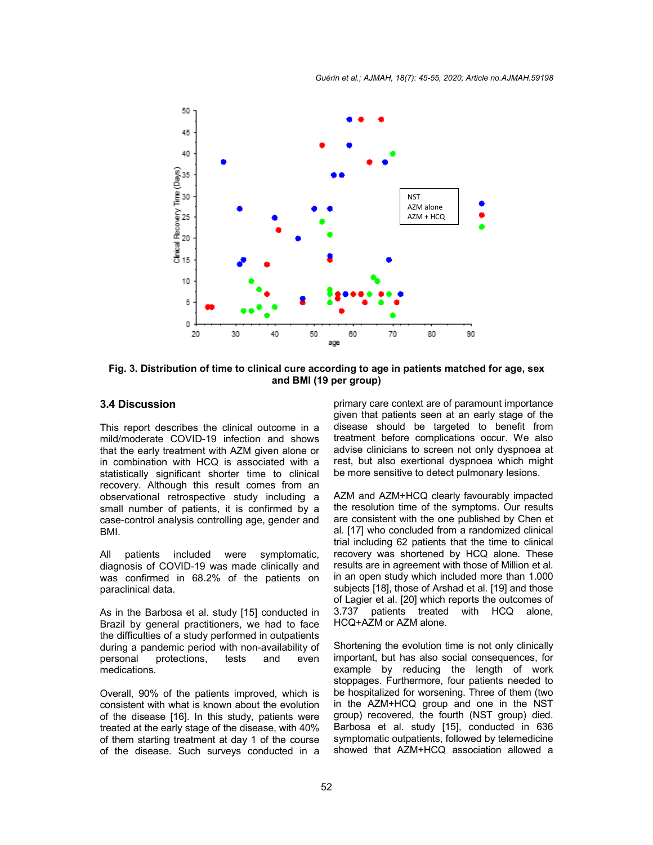*Guérin et al.; AJMAH, 18(7): 45-55, 2020; Article no.AJMAH.59198*



**Fig. 3. Distribution of time to clinical cure according to age in patients matched for age, sex and BMI (19 per group)**

# **3.4 Discussion**

This report describes the clinical outcome in a mild/moderate COVID-19 infection and shows that the early treatment with AZM given alone or in combination with HCQ is associated with a statistically significant shorter time to clinical recovery. Although this result comes from an observational retrospective study including a small number of patients, it is confirmed by a case-control analysis controlling age, gender and BMI.

All patients included were symptomatic, diagnosis of COVID-19 was made clinically and was confirmed in 68.2% of the patients on paraclinical data.

As in the Barbosa et al. study [15] conducted in Brazil by general practitioners, we had to face the difficulties of a study performed in outpatients during a pandemic period with non-availability of personal protections, tests and even medications.

Overall, 90% of the patients improved, which is consistent with what is known about the evolution of the disease [16]. In this study, patients were treated at the early stage of the disease, with 40% of them starting treatment at day 1 of the course of the disease. Such surveys conducted in a primary care context are of paramount importance given that patients seen at an early stage of the disease should be targeted to benefit from treatment before complications occur. We also advise clinicians to screen not only dyspnoea at rest, but also exertional dyspnoea which might be more sensitive to detect pulmonary lesions.

AZM and AZM+HCQ clearly favourably impacted the resolution time of the symptoms. Our results are consistent with the one published by Chen et al. [17] who concluded from a randomized clinical trial including 62 patients that the time to clinical recovery was shortened by HCQ alone. These results are in agreement with those of Million et al. in an open study which included more than 1.000 subjects [18], those of Arshad et al. [19] and those of Lagier et al. [20] which reports the outcomes of 3.737 patients treated with HCQ alone, HCQ+AZM or AZM alone.

Shortening the evolution time is not only clinically important, but has also social consequences, for example by reducing the length of work stoppages. Furthermore, four patients needed to be hospitalized for worsening. Three of them (two in the AZM+HCQ group and one in the NST group) recovered, the fourth (NST group) died. Barbosa et al. study [15], conducted in 636 symptomatic outpatients, followed by telemedicine showed that AZM+HCQ association allowed a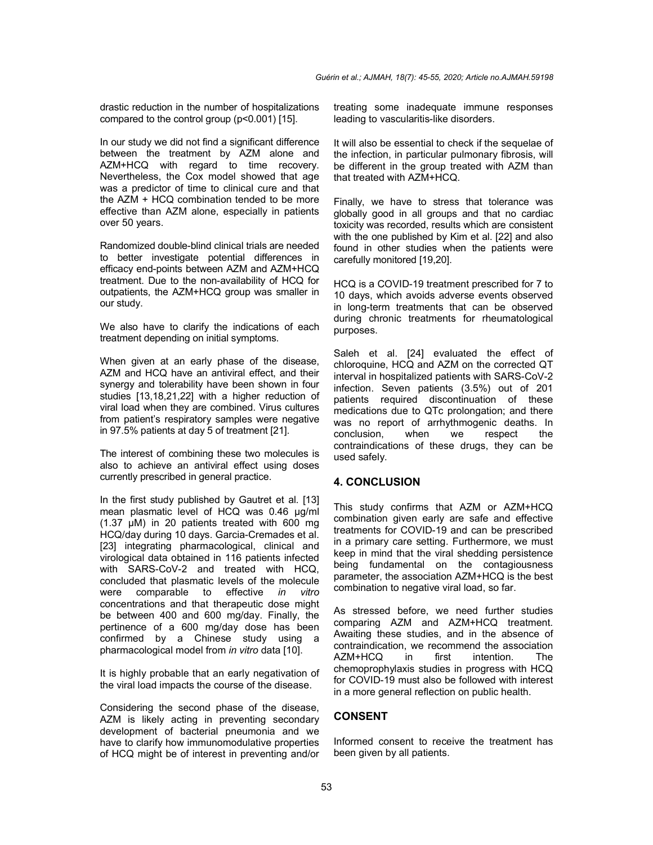drastic reduction in the number of hospitalizations compared to the control group (p<0.001) [15].

In our study we did not find a significant difference between the treatment by AZM alone and AZM+HCQ with regard to time recovery. Nevertheless, the Cox model showed that age was a predictor of time to clinical cure and that the AZM + HCQ combination tended to be more effective than AZM alone, especially in patients over 50 years.

Randomized double-blind clinical trials are needed to better investigate potential differences in efficacy end-points between AZM and AZM+HCQ treatment. Due to the non-availability of HCQ for outpatients, the AZM+HCQ group was smaller in our study.

We also have to clarify the indications of each treatment depending on initial symptoms.

When given at an early phase of the disease, AZM and HCQ have an antiviral effect, and their synergy and tolerability have been shown in four studies [13,18,21,22] with a higher reduction of viral load when they are combined. Virus cultures from patient's respiratory samples were negative in 97.5% patients at day 5 of treatment [21].

The interest of combining these two molecules is also to achieve an antiviral effect using doses currently prescribed in general practice.

In the first study published by Gautret et al. [13] mean plasmatic level of HCQ was 0.46 µg/ml (1.37 µM) in 20 patients treated with 600 mg HCQ/day during 10 days. Garcia-Cremades et al. [23] integrating pharmacological, clinical and virological data obtained in 116 patients infected with SARS-CoV-2 and treated with HCQ, concluded that plasmatic levels of the molecule<br>were comparable to effective in vitro were comparable to effective *in vitro* concentrations and that therapeutic dose might be between 400 and 600 mg/day. Finally, the pertinence of a 600 mg/day dose has been confirmed by a Chinese study using a pharmacological model from *in vitro* data [10].

It is highly probable that an early negativation of the viral load impacts the course of the disease.

Considering the second phase of the disease, AZM is likely acting in preventing secondary development of bacterial pneumonia and we have to clarify how immunomodulative properties of HCQ might be of interest in preventing and/or treating some inadequate immune responses leading to vascularitis-like disorders.

It will also be essential to check if the sequelae of the infection, in particular pulmonary fibrosis, will be different in the group treated with AZM than that treated with AZM+HCQ.

Finally, we have to stress that tolerance was globally good in all groups and that no cardiac toxicity was recorded, results which are consistent with the one published by Kim et al. [22] and also found in other studies when the patients were carefully monitored [19,20].

HCQ is a COVID-19 treatment prescribed for 7 to 10 days, which avoids adverse events observed in long-term treatments that can be observed during chronic treatments for rheumatological purposes.

Saleh et al. [24] evaluated the effect of chloroquine, HCQ and AZM on the corrected QT interval in hospitalized patients with SARS-CoV-2 infection. Seven patients (3.5%) out of 201 patients required discontinuation of these medications due to QTc prolongation; and there was no report of arrhythmogenic deaths. In conclusion, when we respect the contraindications of these drugs, they can be used safely.

#### **4. CONCLUSION**

This study confirms that AZM or AZM+HCQ combination given early are safe and effective treatments for COVID-19 and can be prescribed in a primary care setting. Furthermore, we must keep in mind that the viral shedding persistence being fundamental on the contagiousness parameter, the association AZM+HCQ is the best combination to negative viral load, so far.

As stressed before, we need further studies comparing AZM and AZM+HCQ treatment. Awaiting these studies, and in the absence of contraindication, we recommend the association AZM+HCQ in first intention. The chemoprophylaxis studies in progress with HCQ for COVID-19 must also be followed with interest in a more general reflection on public health.

# **CONSENT**

Informed consent to receive the treatment has been given by all patients.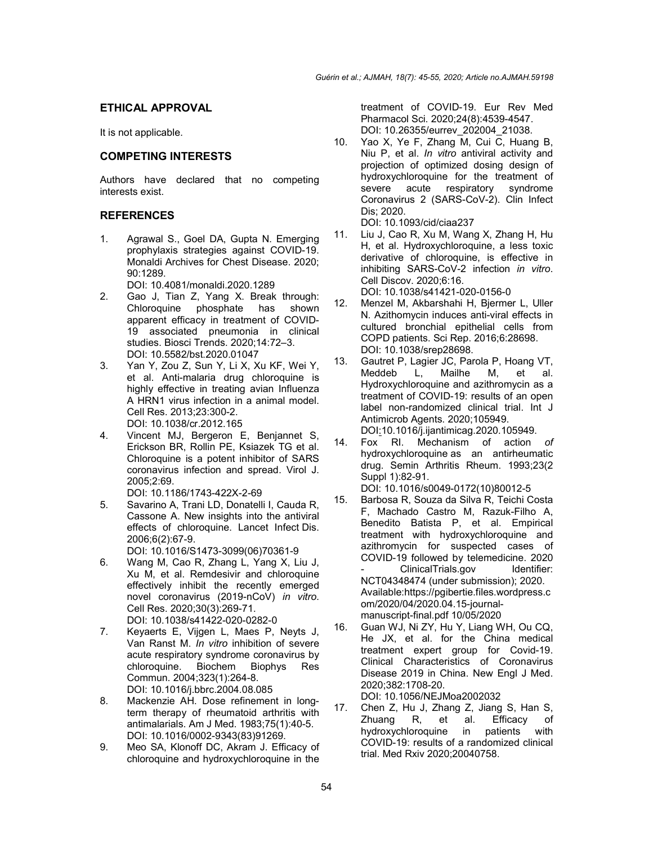## **ETHICAL APPROVAL**

It is not applicable.

## **COMPETING INTERESTS**

Authors have declared that no competing interests exist.

## **REFERENCES**

1. Agrawal S., Goel DA, Gupta N. Emerging prophylaxis strategies against COVID-19. Monaldi Archives for Chest Disease. 2020; 90:1289.

DOI: 10.4081/monaldi.2020.1289

- 2. Gao J, Tian Z, Yang X. Break through: Chloroquine phosphate has shown apparent efficacy in treatment of COVID-19 associated pneumonia in clinical studies. Biosci Trends. 2020;14:72–3. DOI: 10.5582/bst.2020.01047
- 3. Yan Y, Zou Z, Sun Y, Li X, Xu KF, Wei Y, et al. Anti-malaria drug chloroquine is highly effective in treating avian Influenza A HRN1 virus infection in a animal model. Cell Res. 2013;23:300-2. DOI: 10.1038/cr.2012.165
- 4. Vincent MJ, Bergeron E, Benjannet S, Erickson BR, Rollin PE, Ksiazek TG et al. Chloroquine is a potent inhibitor of SARS coronavirus infection and spread. Virol J. 2005;2:69.
- DOI: 10.1186/1743-422X-2-69 5. Savarino A, Trani LD, Donatelli I, Cauda R, Cassone A. New insights into the antiviral effects of chloroquine. Lancet Infect Dis. 2006;6(2):67-9.

DOI: 10.1016/S1473-3099(06)70361-9

- 6. Wang M, Cao R, Zhang L, Yang X, Liu J, Xu M, et al. Remdesivir and chloroquine effectively inhibit the recently emerged novel coronavirus (2019-nCoV) *in vitro*. Cell Res. 2020;30(3):269-71. DOI: 10.1038/s41422-020-0282-0
- 7. Keyaerts E, Vijgen L, Maes P, Neyts J, Van Ranst M. *In vitro* inhibition of severe acute respiratory syndrome coronavirus by chloroquine. Biochem Biophys Res Commun. 2004;323(1):264-8. DOI: 10.1016/j.bbrc.2004.08.085
- 8. Mackenzie AH. Dose refinement in longterm therapy of rheumatoid arthritis with antimalarials. Am J Med. 1983;75(1):40-5. DOI: 10.1016/0002-9343(83)91269.
- 9. Meo SA, Klonoff DC, Akram J. Efficacy of chloroquine and hydroxychloroquine in the

treatment of COVID-19. Eur Rev Med Pharmacol Sci. 2020;24(8):4539-4547. DOI: 10.26355/eurrev\_202004\_21038.

10. Yao X, Ye F, Zhang M, Cui C, Huang B, Niu P, et al. *In vitro* antiviral activity and projection of optimized dosing design of hydroxychloroquine for the treatment of severe acute respiratory syndrome Coronavirus 2 (SARS-CoV-2). Clin Infect Dis; 2020.

DOI: 10.1093/cid/ciaa237

- 11. Liu J, Cao R, Xu M, Wang X, Zhang H, Hu H, et al. Hydroxychloroquine, a less toxic derivative of chloroquine, is effective in inhibiting SARS-CoV-2 infection *in vitro*. Cell Discov. 2020;6:16. DOI: 10.1038/s41421-020-0156-0
- 12. Menzel M, Akbarshahi H, Bjermer L, Uller N. Azithomycin induces anti-viral effects in cultured bronchial epithelial cells from COPD patients. Sci Rep. 2016;6:28698. DOI: 10.1038/srep28698.
- 13. Gautret P, Lagier JC, Parola P, Hoang VT, Meddeb L, Mailhe M, et al. Hydroxychloroquine and azithromycin as a treatment of COVID-19: results of an open label non-randomized clinical trial. Int J Antimicrob Agents. 2020;105949. DOI:10.1016/j.ijantimicag.2020.105949.
- 14. Fox RI. Mechanism of action *of*  hydroxychloroquine as an antirheumatic drug. Semin Arthritis Rheum. 1993;23(2 Suppl 1):82-91.

DOI: 10.1016/s0049-0172(10)80012-5

- 15. Barbosa R, Souza da Silva R, Teichi Costa F, Machado Castro M, Razuk-Filho A, Benedito Batista P, et al. Empirical treatment with hydroxychloroquine and azithromycin for suspected cases of COVID-19 followed by telemedicine. 2020 ClinicalTrials.gov Identifier: NCT04348474 (under submission); 2020. Available:https://pgibertie.files.wordpress.c om/2020/04/2020.04.15-journalmanuscript-final.pdf 10/05/2020
- 16. Guan WJ, Ni ZY, Hu Y, Liang WH, Ou CQ, He JX, et al. for the China medical treatment expert group for Covid-19. Clinical Characteristics of Coronavirus Disease 2019 in China. New Engl J Med. 2020;382:1708-20. DOI: 10.1056/NEJMoa2002032
- 17. Chen Z, Hu J, Zhang Z, Jiang S, Han S, Zhuang R, et al. Efficacy of hydroxychloroquine in patients with COVID-19: results of a randomized clinical trial. Med Rxiv 2020;20040758.